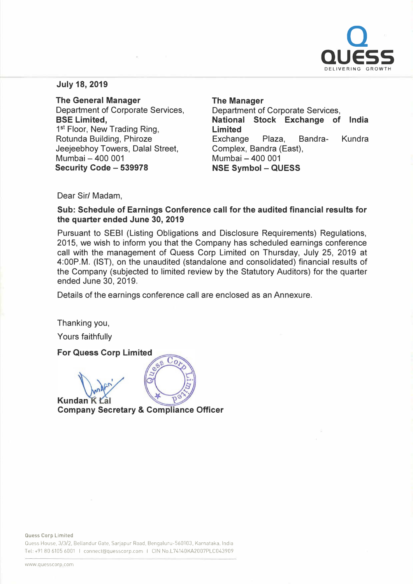

## **July 18, 2019**

**The General Manager**  Department of Corporate Services, **BSE Limited,**  1<sup>st</sup> Floor, New Trading Ring, Rotunda Building, Phiroze Jeejeebhoy Towers, Dalal Street, Mumbai - 400 001 **Security Code - 539978** 

**The Manager**  Department of Corporate Services, **National Stock Exchange of India Limited**  Exchange Plaza, Bandra- Kundra Complex, Sandra (East), Mumbai - 400 001 **NSE Symbol - QUESS** 

Dear Sir/ Madam,

**Sub: Schedule of Earnings Conference call for the audited financial results for the quarter ended June 30, 2019** 

Pursuant to SEBI (Listing Obligations and Disclosure Requirements) Regulations, 2015, we wish to inform you that the Company has scheduled earnings conference call with the management of Quess Corp Limited on Thursday, July 25, 2019 at 4:00P.M. (1ST), on the unaudited (standalone and consolidated) financial results of the Company (subjected to limited review by the Statutory Auditors) for the quarter ended June 30, 2019.

Details of the earnings conference call are enclosed as an Annexure.

 $\overline{\mathcal{C}_{o}}$ 

Thanking you,

Yours faithfully

**For Quess Corp Limited** 

**Kundan K Company Secretary & Compliance Officer** 

 $\overline{Q}$ 

Quess House, 3/3/2, Bellandur Gate, Sarjapur Road, Bengaluru-560103, Karnataka, India Tel: +91 80 6105 6001 I connect@quesscorp.com I CIN No.L74140KA2007PLC043909